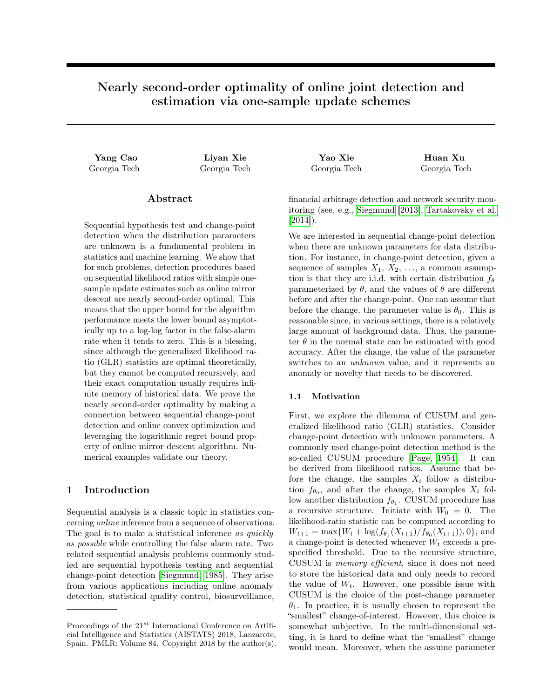# Nearly second-order optimality of online joint detection and estimation via one-sample update schemes

Yang Cao Liyan Xie Yao Xie Huan Xu

# Abstract

Sequential hypothesis test and change-point detection when the distribution parameters are unknown is a fundamental problem in statistics and machine learning. We show that for such problems, detection procedures based on sequential likelihood ratios with simple onesample update estimates such as online mirror descent are nearly second-order optimal. This means that the upper bound for the algorithm performance meets the lower bound asymptotically up to a log-log factor in the false-alarm rate when it tends to zero. This is a blessing, since although the generalized likelihood ratio (GLR) statistics are optimal theoretically, but they cannot be computed recursively, and their exact computation usually requires infinite memory of historical data. We prove the nearly second-order optimality by making a connection between sequential change-point detection and online convex optimization and leveraging the logarithmic regret bound property of online mirror descent algorithm. Numerical examples validate our theory.

# 1 Introduction

Sequential analysis is a classic topic in statistics concerning online inference from a sequence of observations. The goal is to make a statistical inference as quickly as possible while controlling the false alarm rate. Two related sequential analysis problems commonly studied are sequential hypothesis testing and sequential change-point detection [\[Siegmund, 1985\]](#page-8-0). They arise from various applications including online anomaly detection, statistical quality control, biosurveillance,

Georgia Tech Georgia Tech Georgia Tech Georgia Tech

financial arbitrage detection and network security monitoring (see, e.g., [Siegmund](#page-8-1) [\[2013\]](#page-8-1), [Tartakovsky et al.](#page-8-2)  $[2014]$ ).

We are interested in sequential change-point detection when there are unknown parameters for data distribution. For instance, in change-point detection, given a sequence of samples  $X_1, X_2, \ldots$ , a common assumption is that they are i.i.d. with certain distribution  $f_{\theta}$ parameterized by  $\theta$ , and the values of  $\theta$  are different before and after the change-point. One can assume that before the change, the parameter value is  $\theta_0$ . This is reasonable since, in various settings, there is a relatively large amount of background data. Thus, the parameter  $\theta$  in the normal state can be estimated with good accuracy. After the change, the value of the parameter switches to an unknown value, and it represents an anomaly or novelty that needs to be discovered.

# 1.1 Motivation

First, we explore the dilemma of CUSUM and generalized likelihood ratio (GLR) statistics. Consider change-point detection with unknown parameters. A commonly used change-point detection method is the so-called CUSUM procedure [\[Page, 1954\]](#page-8-3). It can be derived from likelihood ratios. Assume that before the change, the samples  $X_i$  follow a distribution  $f_{\theta_0}$ , and after the change, the samples  $X_i$  follow another distribution  $f_{\theta_1}$ . CUSUM procedure has a recursive structure. Initiate with  $W_0 = 0$ . The likelihood-ratio statistic can be computed according to  $W_{t+1} = \max\{W_t + \log(f_{\theta_1}(X_{t+1})/f_{\theta_0}(X_{t+1})), 0\},\$ and a change-point is detected whenever  $W_t$  exceeds a prespecified threshold. Due to the recursive structure, CUSUM is memory efficient, since it does not need to store the historical data and only needs to record the value of  $W_t$ . However, one possible issue with CUSUM is the choice of the post-change parameter  $\theta_1$ . In practice, it is usually chosen to represent the "smallest" change-of-interest. However, this choice is somewhat subjective. In the multi-dimensional setting, it is hard to define what the "smallest" change would mean. Moreover, when the assume parameter

Proceedings of the  $21^{st}$  International Conference on Artificial Intelligence and Statistics (AISTATS) 2018, Lanzarote, Spain. PMLR: Volume 84. Copyright 2018 by the author(s).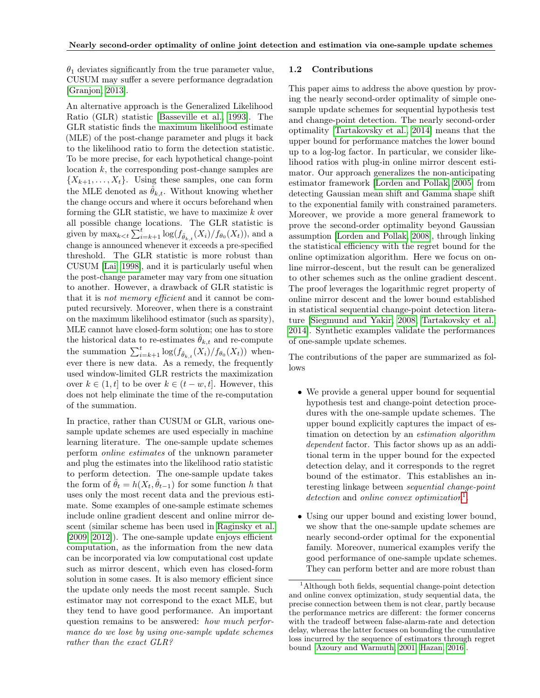$\theta_1$  deviates significantly from the true parameter value, CUSUM may suffer a severe performance degradation [\[Granjon, 2013\]](#page-8-4).

An alternative approach is the Generalized Likelihood Ratio (GLR) statistic [\[Basseville et al., 1993\]](#page-8-5). The GLR statistic finds the maximum likelihood estimate (MLE) of the post-change parameter and plugs it back to the likelihood ratio to form the detection statistic. To be more precise, for each hypothetical change-point location k, the corresponding post-change samples are  $\{X_{k+1}, \ldots, X_t\}$ . Using these samples, one can form the MLE denoted as  $\hat{\theta}_{k,t}$ . Without knowing whether the change occurs and where it occurs beforehand when forming the GLR statistic, we have to maximize  $k$  over all possible change locations. The GLR statistic is given by  $\max_{k \leq t} \sum_{i=k+1}^{t} \log(f_{\hat{\theta}_{k,t}}(X_i)/f_{\theta_0}(X_t))$ , and a change is announced whenever it exceeds a pre-specified threshold. The GLR statistic is more robust than CUSUM [\[Lai, 1998\]](#page-8-6), and it is particularly useful when the post-change parameter may vary from one situation to another. However, a drawback of GLR statistic is that it is not memory efficient and it cannot be computed recursively. Moreover, when there is a constraint on the maximum likelihood estimator (such as sparsity), MLE cannot have closed-form solution; one has to store the historical data to re-estimates  $\hat{\theta}_{k,t}$  and re-compute the summation  $\sum_{i=k+1}^{t} \log(f_{\hat{\theta}_{k,t}}(X_i)/f_{\theta_0}(X_t))$  whenever there is new data. As a remedy, the frequently used window-limited GLR restricts the maximization over  $k \in (1, t]$  to be over  $k \in (t - w, t]$ . However, this does not help eliminate the time of the re-computation of the summation.

In practice, rather than CUSUM or GLR, various onesample update schemes are used especially in machine learning literature. The one-sample update schemes perform online estimates of the unknown parameter and plug the estimates into the likelihood ratio statistic to perform detection. The one-sample update takes the form of  $\hat{\theta}_t = h(X_t, \hat{\theta}_{t-1})$  for some function h that uses only the most recent data and the previous estimate. Some examples of one-sample estimate schemes include online gradient descent and online mirror descent (similar scheme has been used in [Raginsky et al.](#page-8-7) [\[2009,](#page-8-7) [2012\]](#page-8-8)). The one-sample update enjoys efficient computation, as the information from the new data can be incorporated via low computational cost update such as mirror descent, which even has closed-form solution in some cases. It is also memory efficient since the update only needs the most recent sample. Such estimator may not correspond to the exact MLE, but they tend to have good performance. An important question remains to be answered: how much performance do we lose by using one-sample update schemes rather than the exact GLR?

#### 1.2 Contributions

This paper aims to address the above question by proving the nearly second-order optimality of simple onesample update schemes for sequential hypothesis test and change-point detection. The nearly second-order optimality [\[Tartakovsky et al., 2014\]](#page-8-2) means that the upper bound for performance matches the lower bound up to a log-log factor. In particular, we consider likelihood ratios with plug-in online mirror descent estimator. Our approach generalizes the non-anticipating estimator framework [\[Lorden and Pollak, 2005\]](#page-8-9) from detecting Gaussian mean shift and Gamma shape shift to the exponential family with constrained parameters. Moreover, we provide a more general framework to prove the second-order optimality beyond Gaussian assumption [\[Lorden and Pollak, 2008\]](#page-8-10), through linking the statistical efficiency with the regret bound for the online optimization algorithm. Here we focus on online mirror-descent, but the result can be generalized to other schemes such as the online gradient descent. The proof leverages the logarithmic regret property of online mirror descent and the lower bound established in statistical sequential change-point detection literature [\[Siegmund and Yakir, 2008,](#page-8-11) [Tartakovsky et al.,](#page-8-2) [2014\]](#page-8-2). Synthetic examples validate the performances of one-sample update schemes.

The contributions of the paper are summarized as follows

- We provide a general upper bound for sequential hypothesis test and change-point detection procedures with the one-sample update schemes. The upper bound explicitly captures the impact of estimation on detection by an estimation algorithm dependent factor. This factor shows up as an additional term in the upper bound for the expected detection delay, and it corresponds to the regret bound of the estimator. This establishes an interesting linkage between sequential change-point  $detection$  and online convex optimization<sup>[1](#page-1-0)</sup>.
- Using our upper bound and existing lower bound, we show that the one-sample update schemes are nearly second-order optimal for the exponential family. Moreover, numerical examples verify the good performance of one-sample update schemes. They can perform better and are more robust than

<span id="page-1-0"></span><sup>1</sup>Although both fields, sequential change-point detection and online convex optimization, study sequential data, the precise connection between them is not clear, partly because the performance metrics are different: the former concerns with the tradeoff between false-alarm-rate and detection delay, whereas the latter focuses on bounding the cumulative loss incurred by the sequence of estimators through regret bound [\[Azoury and Warmuth, 2001,](#page-8-12) [Hazan, 2016\]](#page-8-13).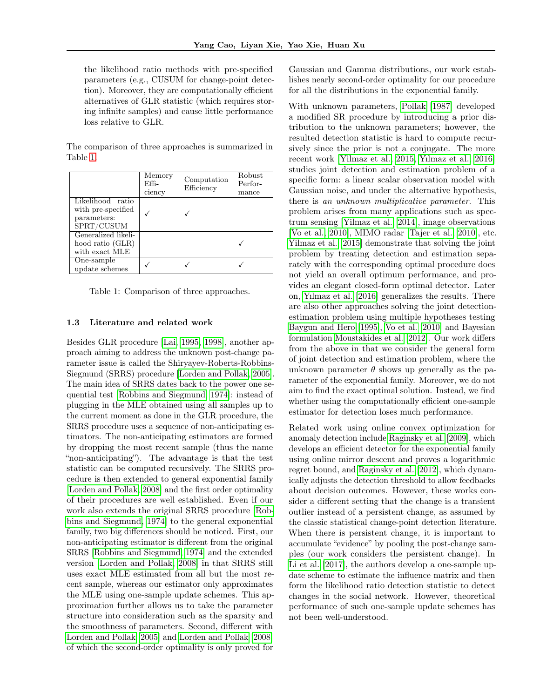the likelihood ratio methods with pre-specified parameters (e.g., CUSUM for change-point detection). Moreover, they are computationally efficient alternatives of GLR statistic (which requires storing infinite samples) and cause little performance loss relative to GLR.

|                                                                     | Memory<br>Effi-<br>ciency | Computation<br>Efficiency | Robust<br>Perfor-<br>mance |
|---------------------------------------------------------------------|---------------------------|---------------------------|----------------------------|
| Likelihood ratio<br>with pre-specified<br>parameters:<br>SPRT/CUSUM |                           |                           |                            |
| Generalized likeli-<br>hood ratio (GLR)<br>with exact MLE           |                           |                           |                            |
| One-sample<br>update schemes                                        |                           |                           |                            |

The comparison of three approaches is summarized in Table [1.](#page-2-0)

<span id="page-2-0"></span>Table 1: Comparison of three approaches.

### 1.3 Literature and related work

Besides GLR procedure [\[Lai, 1995,](#page-8-14) [1998\]](#page-8-6), another approach aiming to address the unknown post-change parameter issue is called the Shiryayev-Roberts-Robbins-Siegmund (SRRS) procedure [\[Lorden and Pollak, 2005\]](#page-8-9). The main idea of SRRS dates back to the power one sequential test [\[Robbins and Siegmund, 1974\]](#page-8-15): instead of plugging in the MLE obtained using all samples up to the current moment as done in the GLR procedure, the SRRS procedure uses a sequence of non-anticipating estimators. The non-anticipating estimators are formed by dropping the most recent sample (thus the name "non-anticipating"). The advantage is that the test statistic can be computed recursively. The SRRS procedure is then extended to general exponential family [\[Lorden and Pollak, 2008\]](#page-8-10) and the first order optimality of their procedures are well established. Even if our work also extends the original SRRS procedure [\[Rob](#page-8-15)[bins and Siegmund, 1974\]](#page-8-15) to the general exponential family, two big differences should be noticed. First, our non-anticipating estimator is different from the original SRRS [\[Robbins and Siegmund, 1974\]](#page-8-15) and the extended version [\[Lorden and Pollak, 2008\]](#page-8-10) in that SRRS still uses exact MLE estimated from all but the most recent sample, whereas our estimator only approximates the MLE using one-sample update schemes. This approximation further allows us to take the parameter structure into consideration such as the sparsity and the smoothness of parameters. Second, different with [Lorden and Pollak](#page-8-9) [\[2005\]](#page-8-9) and [Lorden and Pollak](#page-8-10) [\[2008\]](#page-8-10) of which the second-order optimality is only proved for

Gaussian and Gamma distributions, our work establishes nearly second-order optimality for our procedure for all the distributions in the exponential family.

With unknown parameters, [Pollak](#page-8-16) [\[1987\]](#page-8-16) developed a modified SR procedure by introducing a prior distribution to the unknown parameters; however, the resulted detection statistic is hard to compute recursively since the prior is not a conjugate. The more recent work [\[Yilmaz et al., 2015,](#page-8-17) [Yılmaz et al., 2016\]](#page-8-18) studies joint detection and estimation problem of a specific form: a linear scalar observation model with Gaussian noise, and under the alternative hypothesis, there is an unknown multiplicative parameter. This problem arises from many applications such as spectrum sensing [\[Yilmaz et al., 2014\]](#page-8-19), image observations [\[Vo et al., 2010\]](#page-8-20), MIMO radar [\[Tajer et al., 2010\]](#page-8-21), etc. [Yilmaz et al.](#page-8-17) [\[2015\]](#page-8-17) demonstrate that solving the joint problem by treating detection and estimation separately with the corresponding optimal procedure does not yield an overall optimum performance, and provides an elegant closed-form optimal detector. Later on, [Yılmaz et al.](#page-8-18) [\[2016\]](#page-8-18) generalizes the results. There are also other approaches solving the joint detectionestimation problem using multiple hypotheses testing [Baygun and Hero](#page-8-22) [\[1995\]](#page-8-22), [Vo et al.](#page-8-20) [\[2010\]](#page-8-20) and Bayesian formulation [Moustakides et al.](#page-8-23) [\[2012\]](#page-8-23). Our work differs from the above in that we consider the general form of joint detection and estimation problem, where the unknown parameter  $\theta$  shows up generally as the parameter of the exponential family. Moreover, we do not aim to find the exact optimal solution. Instead, we find whether using the computationally efficient one-sample estimator for detection loses much performance.

Related work using online convex optimization for anomaly detection include [Raginsky et al.](#page-8-7) [\[2009\]](#page-8-7), which develops an efficient detector for the exponential family using online mirror descent and proves a logarithmic regret bound, and [Raginsky et al.](#page-8-8) [\[2012\]](#page-8-8), which dynamically adjusts the detection threshold to allow feedbacks about decision outcomes. However, these works consider a different setting that the change is a transient outlier instead of a persistent change, as assumed by the classic statistical change-point detection literature. When there is persistent change, it is important to accumulate "evidence" by pooling the post-change samples (our work considers the persistent change). In [Li et al.](#page-8-24) [\[2017\]](#page-8-24), the authors develop a one-sample update scheme to estimate the influence matrix and then form the likelihood ratio detection statistic to detect changes in the social network. However, theoretical performance of such one-sample update schemes has not been well-understood.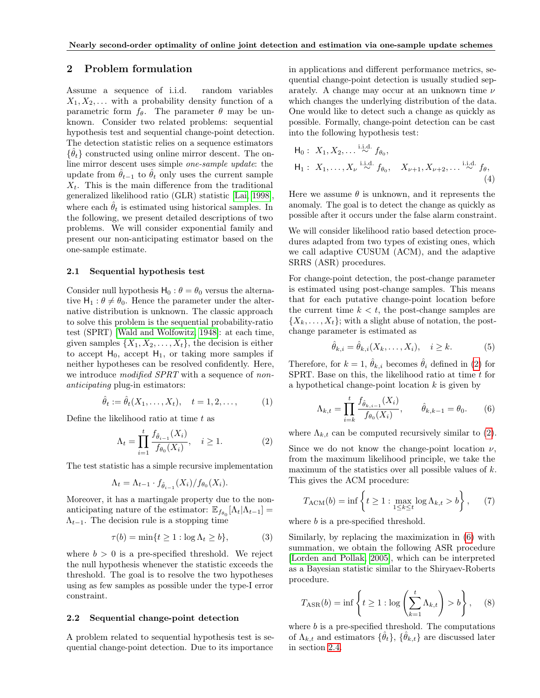# 2 Problem formulation

Assume a sequence of i.i.d. random variables  $X_1, X_2, \ldots$  with a probability density function of a parametric form  $f_{\theta}$ . The parameter  $\theta$  may be unknown. Consider two related problems: sequential hypothesis test and sequential change-point detection. The detection statistic relies on a sequence estimators  $\{\hat{\theta}_t\}$  constructed using online mirror descent. The online mirror descent uses simple one-sample update: the update from  $\hat{\theta}_{t-1}$  to  $\hat{\theta}_t$  only uses the current sample  $X_t$ . This is the main difference from the traditional generalized likelihood ratio (GLR) statistic [\[Lai, 1998\]](#page-8-6), where each  $\hat{\theta}_t$  is estimated using historical samples. In the following, we present detailed descriptions of two problems. We will consider exponential family and present our non-anticipating estimator based on the one-sample estimate.

### 2.1 Sequential hypothesis test

Consider null hypothesis  $H_0$ :  $\theta = \theta_0$  versus the alternative  $H_1$ :  $\theta \neq \theta_0$ . Hence the parameter under the alternative distribution is unknown. The classic approach to solve this problem is the sequential probability-ratio test (SPRT) [\[Wald and Wolfowitz, 1948\]](#page-8-25): at each time, given samples  $\{X_1, X_2, \ldots, X_t\}$ , the decision is either to accept  $H_0$ , accept  $H_1$ , or taking more samples if neither hypotheses can be resolved confidently. Here, we introduce *modified SPRT* with a sequence of *non*anticipating plug-in estimators:

$$
\hat{\theta}_t := \hat{\theta}_t(X_1, ..., X_t), \quad t = 1, 2, ..., \quad (1)
$$

Define the likelihood ratio at time  $t$  as

<span id="page-3-2"></span>
$$
\Lambda_t = \prod_{i=1}^t \frac{f_{\hat{\theta}_{i-1}}(X_i)}{f_{\theta_0}(X_i)}, \quad i \ge 1.
$$
 (2)

The test statistic has a simple recursive implementation

$$
\Lambda_t = \Lambda_{t-1} \cdot f_{\hat{\theta}_{i-1}}(X_i) / f_{\theta_0}(X_i).
$$

Moreover, it has a martingale property due to the nonanticipating nature of the estimator:  $\mathbb{E}_{f_{\theta_0}}[\Lambda_t|\Lambda_{t-1}] =$  $\Lambda_{t-1}$ . The decision rule is a stopping time

$$
\tau(b) = \min\{t \ge 1 : \log \Lambda_t \ge b\},\tag{3}
$$

where  $b > 0$  is a pre-specified threshold. We reject the null hypothesis whenever the statistic exceeds the threshold. The goal is to resolve the two hypotheses using as few samples as possible under the type-I error constraint.

#### 2.2 Sequential change-point detection

A problem related to sequential hypothesis test is sequential change-point detection. Due to its importance

in applications and different performance metrics, sequential change-point detection is usually studied separately. A change may occur at an unknown time  $\nu$ which changes the underlying distribution of the data. One would like to detect such a change as quickly as possible. Formally, change-point detection can be cast into the following hypothesis test:

$$
\mathsf{H}_0: X_1, X_2, \dots \stackrel{\text{i.i.d.}}{\sim} f_{\theta_0},
$$
\n
$$
\mathsf{H}_1: X_1, \dots, X_{\nu} \stackrel{\text{i.i.d.}}{\sim} f_{\theta_0}, \quad X_{\nu+1}, X_{\nu+2}, \dots \stackrel{\text{i.i.d.}}{\sim} f_{\theta},
$$
\n(4)

Here we assume  $\theta$  is unknown, and it represents the anomaly. The goal is to detect the change as quickly as possible after it occurs under the false alarm constraint.

We will consider likelihood ratio based detection procedures adapted from two types of existing ones, which we call adaptive CUSUM (ACM), and the adaptive SRRS (ASR) procedures.

For change-point detection, the post-change parameter is estimated using post-change samples. This means that for each putative change-point location before the current time  $k < t$ , the post-change samples are  $\{X_k, \ldots, X_t\}$ ; with a slight abuse of notation, the postchange parameter is estimated as

<span id="page-3-3"></span><span id="page-3-1"></span>
$$
\hat{\theta}_{k,i} = \hat{\theta}_{k,i}(X_k, \dots, X_i), \quad i \ge k. \tag{5}
$$

Therefore, for  $k = 1$ ,  $\hat{\theta}_{k,i}$  becomes  $\hat{\theta}_i$  defined in [\(2\)](#page-3-0) for SPRT. Base on this, the likelihood ratio at time  $t$  for a hypothetical change-point location  $k$  is given by

$$
\Lambda_{k,t} = \prod_{i=k}^{t} \frac{f_{\hat{\theta}_{k,i-1}}(X_i)}{f_{\theta_0}(X_i)}, \qquad \hat{\theta}_{k,k-1} = \theta_0.
$$
 (6)

<span id="page-3-0"></span>where  $\Lambda_{k,t}$  can be computed recursively similar to [\(2\)](#page-3-0).

Since we do not know the change-point location  $\nu$ , from the maximum likelihood principle, we take the maximum of the statistics over all possible values of  $k$ . This gives the ACM procedure:

<span id="page-3-6"></span>
$$
T_{\text{ACM}}(b) = \inf \left\{ t \ge 1 : \max_{1 \le k \le t} \log \Lambda_{k,t} > b \right\},\qquad(7)
$$

<span id="page-3-4"></span>where b is a pre-specified threshold.

Similarly, by replacing the maximization in [\(6\)](#page-3-1) with summation, we obtain the following ASR procedure [\[Lorden and Pollak, 2005\]](#page-8-9), which can be interpreted as a Bayesian statistic similar to the Shiryaev-Roberts procedure.

<span id="page-3-5"></span>
$$
T_{\text{ASR}}(b) = \inf \left\{ t \ge 1 : \log \left( \sum_{k=1}^{t} \Lambda_{k,t} \right) > b \right\}, \quad (8)
$$

where  $b$  is a pre-specified threshold. The computations of  $\Lambda_{k,t}$  and estimators  $\{\hat{\theta}_t\}, \{\hat{\theta}_{k,t}\}\$ are discussed later in section [2.4.](#page-4-0)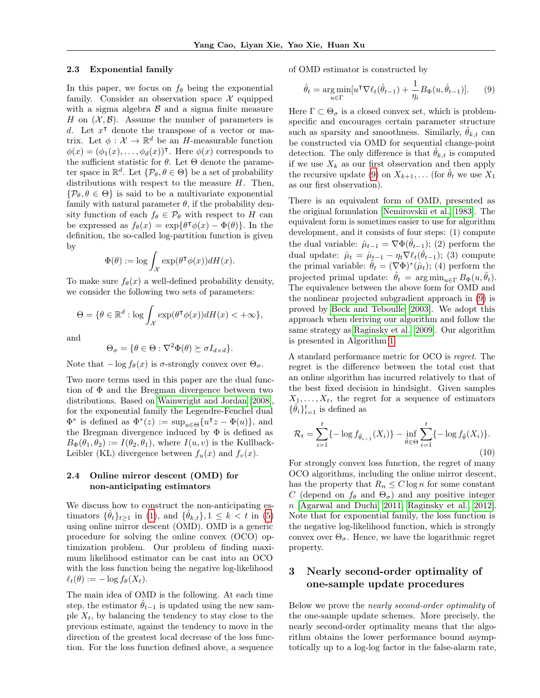#### 2.3 Exponential family

In this paper, we focus on  $f_{\theta}$  being the exponential family. Consider an observation space  $\mathcal X$  equipped with a sigma algebra  $\beta$  and a sigma finite measure H on  $(X, \mathcal{B})$ . Assume the number of parameters is d. Let  $x^{\dagger}$  denote the transpose of a vector or matrix. Let  $\phi: \mathcal{X} \to \mathbb{R}^d$  be an H-measurable function  $\phi(x) = (\phi_1(x), \ldots, \phi_d(x))$ <sup>T</sup>. Here  $\phi(x)$  corresponds to the sufficient statistic for  $\theta$ . Let  $\Theta$  denote the parameter space in  $\mathbb{R}^d$ . Let  $\{\mathcal{P}_{\theta}, \theta \in \Theta\}$  be a set of probability distributions with respect to the measure  $H$ . Then,  $\{\mathcal{P}_{\theta}, \theta \in \Theta\}$  is said to be a multivariate exponential family with natural parameter  $\theta$ , if the probability density function of each  $f_{\theta} \in \mathcal{P}_{\theta}$  with respect to H can be expressed as  $f_{\theta}(x) = \exp{\{\theta^{\intercal} \phi(x) - \Phi(\theta)\}}$ . In the definition, the so-called log-partition function is given by

$$
\Phi(\theta) := \log \int_{\mathcal{X}} \exp(\theta^\intercal \phi(x)) dH(x).
$$

To make sure  $f_{\theta}(x)$  a well-defined probability density, we consider the following two sets of parameters:

$$
\Theta = \{ \theta \in \mathbb{R}^d : \log \int_{\mathcal{X}} \exp(\theta^\intercal \phi(x)) dH(x) < +\infty \},
$$

and

$$
\Theta_{\sigma} = \{ \theta \in \Theta : \nabla^2 \Phi(\theta) \succeq \sigma I_{d \times d} \}.
$$

Note that  $-\log f_{\theta}(x)$  is  $\sigma$ -strongly convex over  $\Theta_{\sigma}$ .

Two more terms used in this paper are the dual function of Φ and the Bregman divergence between two distributions. Based on [Wainwright and Jordan](#page-9-0) [\[2008\]](#page-9-0), for the exponential family the Legendre-Fenchel dual  $\Phi^*$  is defined as  $\Phi^*(z) := \sup_{u \in \Theta} \{u^{\intercal}z - \Phi(u)\},\$ and the Bregman divergence induced by  $\Phi$  is defined as  $B_{\Phi}(\theta_1, \theta_2) := I(\theta_2, \theta_1)$ , where  $I(u, v)$  is the Kullback-Leibler (KL) divergence between  $f_u(x)$  and  $f_v(x)$ .

# <span id="page-4-0"></span>2.4 Online mirror descent (OMD) for non-anticipating estimators

We discuss how to construct the non-anticipating estimators  $\{\hat{\theta}_t\}_{t\geq 1}$  in [\(1\)](#page-3-2), and  $\{\hat{\theta}_{k,t}\}, 1 \leq k < t$  in [\(5\)](#page-3-3) using online mirror descent (OMD). OMD is a generic procedure for solving the online convex (OCO) optimization problem. Our problem of finding maximum likelihood estimator can be cast into an OCO with the loss function being the negative log-likelihood  $\ell_t(\theta) := -\log f_\theta(X_t).$ 

The main idea of OMD is the following. At each time step, the estimator  $\hat{\theta}_{t-1}$  is updated using the new sample  $X_t$ , by balancing the tendency to stay close to the previous estimate, against the tendency to move in the direction of the greatest local decrease of the loss function. For the loss function defined above, a sequence of OMD estimator is constructed by

<span id="page-4-1"></span>
$$
\hat{\theta}_t = \underset{u \in \Gamma}{\arg \min} [u^\mathsf{T} \nabla \ell_t(\hat{\theta}_{t-1}) + \frac{1}{\eta_i} B_{\Phi}(u, \hat{\theta}_{t-1})]. \tag{9}
$$

Here  $\Gamma \subset \Theta_{\sigma}$  is a closed convex set, which is problemspecific and encourages certain parameter structure such as sparsity and smoothness. Similarly,  $\theta_{k,t}$  can be constructed via OMD for sequential change-point detection. The only difference is that  $\theta_{k,t}$  is computed if we use  $X_k$  as our first observation and then apply the recursive update [\(9\)](#page-4-1) on  $X_{k+1}$ , ... (for  $\hat{\theta}_t$  we use  $X_1$ as our first observation).

There is an equivalent form of OMD, presented as the original formulation [\[Nemirovskii et al., 1983\]](#page-9-1). The equivalent form is sometimes easier to use for algorithm development, and it consists of four steps: (1) compute the dual variable:  $\hat{\mu}_{t-1} = \nabla \Phi(\hat{\theta}_{t-1});$  (2) perform the dual update:  $\hat{\mu}_t = \hat{\mu}_{t-1} - \eta_t \nabla \ell_t(\hat{\theta}_{t-1});$  (3) compute the primal variable:  $\tilde{\theta}_t = (\nabla \Phi)^*(\hat{\mu}_t);$  (4) perform the projected primal update:  $\hat{\theta}_t = \arg \min_{u \in \Gamma} B_{\Phi}(u, \theta_t)$ . The equivalence between the above form for OMD and the nonlinear projected subgradient approach in [\(9\)](#page-4-1) is proved by [Beck and Teboulle](#page-9-2) [\[2003\]](#page-9-2). We adopt this approach when deriving our algorithm and follow the same strategy as [Raginsky et al.](#page-8-7) [\[2009\]](#page-8-7). Our algorithm is presented in Algorithm [1.](#page-5-0)

A standard performance metric for OCO is regret. The regret is the difference between the total cost that an online algorithm has incurred relatively to that of the best fixed decision in hindsight. Given samples  $X_1, \ldots, X_t$ , the regret for a sequence of estimators  $\{\hat{\theta}_i\}_{i=1}^t$  is defined as

$$
\mathcal{R}_t = \sum_{i=1}^t \{-\log f_{\hat{\theta}_{i-1}}(X_i)\} - \inf_{\tilde{\theta} \in \Theta} \sum_{i=1}^t \{-\log f_{\tilde{\theta}}(X_i)\}.
$$
\n(10)

For strongly convex loss function, the regret of many OCO algorithms, including the online mirror descent, has the property that  $R_n \leq C \log n$  for some constant C (depend on  $f_{\theta}$  and  $\Theta_{\sigma}$ ) and any positive integer n [\[Agarwal and Duchi, 2011,](#page-9-3) [Raginsky et al., 2012\]](#page-8-8). Note that for exponential family, the loss function is the negative log-likelihood function, which is strongly convex over  $\Theta_{\sigma}$ . Hence, we have the logarithmic regret property.

# 3 Nearly second-order optimality of one-sample update procedures

Below we prove the nearly second-order optimality of the one-sample update schemes. More precisely, the nearly second-order optimality means that the algorithm obtains the lower performance bound asymptotically up to a log-log factor in the false-alarm rate,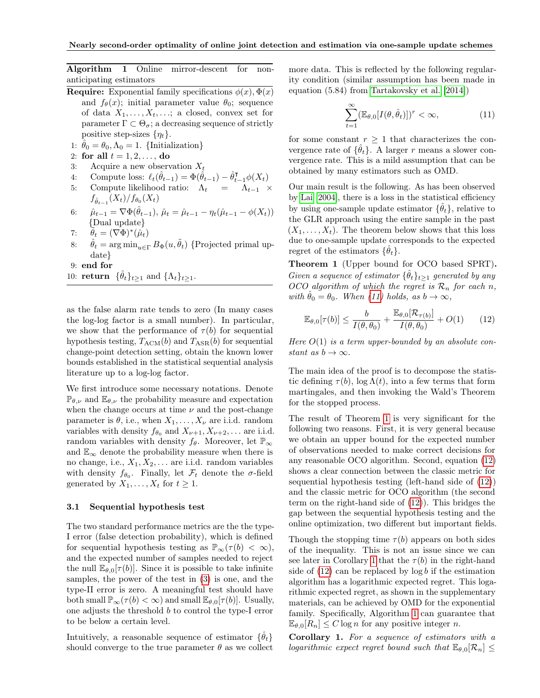Algorithm 1 Online mirror-descent for nonanticipating estimators

- <span id="page-5-0"></span>**Require:** Exponential family specifications  $\phi(x), \Phi(x)$ and  $f_{\theta}(x)$ ; initial parameter value  $\theta_0$ ; sequence of data  $X_1, \ldots, X_t, \ldots$ ; a closed, convex set for parameter  $\Gamma \subset \Theta_{\sigma}$ ; a decreasing sequence of strictly positive step-sizes  $\{\eta_t\}.$
- 1:  $\hat{\theta}_0 = \theta_0, \Lambda_0 = 1$ . {Initialization}
- 2: for all  $t = 1, 2, ...,$  do
- 3: Acquire a new observation  $X_t$
- 4: Compute loss:  $\ell_t(\hat{\theta}_{t-1}) = \Phi(\hat{\theta}_{t-1}) \hat{\theta}_{t-1}^{\mathsf{T}} \phi(X_t)$
- 5: Compute likelihood ratio:  $\Lambda_t = \Lambda_{t-1} \times$  $f_{\hat{\theta}_{t-1}}(X_t)/f_{\theta_0}(X_t)$
- 6:  $\hat{\mu}_{t-1} = \nabla \Phi(\hat{\theta}_{t-1}), \, \hat{\mu}_t = \hat{\mu}_{t-1} \eta_t(\hat{\mu}_{t-1} \phi(X_t))$ {Dual update}
- 7:  $\widetilde{\theta}_t = (\nabla \Phi)^*(\widetilde{\mu}_t)$
- 8:  $\hat{\theta}_t = \arg \min_{u \in \Gamma} B_{\Phi}(u, \tilde{\theta}_t)$  {Projected primal update}
- 9: end for
- 10: **return**  $\{\hat{\theta}_t\}_{t\geq 1}$  and  $\{\Lambda_t\}_{t\geq 1}$ .

as the false alarm rate tends to zero (In many cases the log-log factor is a small number). In particular, we show that the performance of  $\tau(b)$  for sequential hypothesis testing,  $T_{\text{ACM}}(b)$  and  $T_{\text{ASR}}(b)$  for sequential change-point detection setting, obtain the known lower bounds established in the statistical sequential analysis literature up to a log-log factor.

We first introduce some necessary notations. Denote  $\mathbb{P}_{\theta,\nu}$  and  $\mathbb{E}_{\theta,\nu}$  the probability measure and expectation when the change occurs at time  $\nu$  and the post-change parameter is  $\theta$ , i.e., when  $X_1, \ldots, X_{\nu}$  are i.i.d. random variables with density  $f_{\theta_0}$  and  $X_{\nu+1}, X_{\nu+2}, \ldots$  are i.i.d. random variables with density  $f_{\theta}$ . Moreover, let  $\mathbb{P}_{\infty}$ and  $\mathbb{E}_{\infty}$  denote the probability measure when there is no change, i.e.,  $X_1, X_2, \ldots$  are i.i.d. random variables with density  $f_{\theta_0}$ . Finally, let  $\mathcal{F}_t$  denote the  $\sigma$ -field generated by  $X_1, \ldots, X_t$  for  $t \geq 1$ .

### 3.1 Sequential hypothesis test

The two standard performance metrics are the the type-I error (false detection probability), which is defined for sequential hypothesis testing as  $\mathbb{P}_{\infty}(\tau(b) < \infty),$ and the expected number of samples needed to reject the null  $\mathbb{E}_{\theta,0}[\tau(b)]$ . Since it is possible to take infinite samples, the power of the test in [\(3\)](#page-3-4) is one, and the type-II error is zero. A meaningful test should have both small  $\mathbb{P}_{\infty}(\tau(b) < \infty)$  and small  $\mathbb{E}_{\theta,0}[\tau(b)]$ . Usually, one adjusts the threshold b to control the type-I error to be below a certain level.

Intuitively, a reasonable sequence of estimator  $\{\hat{\theta}_t\}$ should converge to the true parameter  $\theta$  as we collect more data. This is reflected by the following regularity condition (similar assumption has been made in equation (5.84) from [Tartakovsky et al.](#page-8-2) [\[2014\]](#page-8-2))

<span id="page-5-1"></span>
$$
\sum_{t=1}^{\infty} (\mathbb{E}_{\theta,0}[I(\theta,\hat{\theta}_t)])^r < \infty, \tag{11}
$$

for some constant  $r > 1$  that characterizes the convergence rate of  $\{\hat{\theta}_t\}$ . A larger r means a slower convergence rate. This is a mild assumption that can be obtained by many estimators such as OMD.

Our main result is the following. As has been observed by [Lai](#page-9-4) [\[2004\]](#page-9-4), there is a loss in the statistical efficiency by using one-sample update estimator  $\{\hat{\theta}_t\}$ , relative to the GLR approach using the entire sample in the past  $(X_1, \ldots, X_t)$ . The theorem below shows that this loss due to one-sample update corresponds to the expected regret of the estimators  $\{\hat{\theta}_t\}.$ 

Theorem 1 (Upper bound for OCO based SPRT). Given a sequence of estimator  $\{\hat{\theta}_t\}_{t\geq 1}$  generated by any OCO algorithm of which the regret is  $\mathcal{R}_n$  for each n, with  $\hat{\theta}_0 = \theta_0$ . When [\(11\)](#page-5-1) holds, as  $b \to \infty$ ,

<span id="page-5-2"></span>
$$
\mathbb{E}_{\theta,0}[\tau(b)] \le \frac{b}{I(\theta,\theta_0)} + \frac{\mathbb{E}_{\theta,0}[\mathcal{R}_{\tau(b)}]}{I(\theta,\theta_0)} + O(1) \qquad (12)
$$

Here  $O(1)$  is a term upper-bounded by an absolute constant as  $b \to \infty$ .

The main idea of the proof is to decompose the statistic defining  $\tau(b)$ , log  $\Lambda(t)$ , into a few terms that form martingales, and then invoking the Wald's Theorem for the stopped process.

The result of Theorem [1](#page-5-2) is very significant for the following two reasons. First, it is very general because we obtain an upper bound for the expected number of observations needed to make correct decisions for any reasonable OCO algorithm. Second, equation [\(12\)](#page-5-2) shows a clear connection between the classic metric for sequential hypothesis testing (left-hand side of [\(12\)](#page-5-2)) and the classic metric for OCO algorithm (the second term on the right-hand side of [\(12\)](#page-5-2)). This bridges the gap between the sequential hypothesis testing and the online optimization, two different but important fields.

Though the stopping time  $\tau(b)$  appears on both sides of the inequality. This is not an issue since we can see later in Corollary [1](#page-6-0) that the  $\tau(b)$  in the right-hand side of  $(12)$  can be replaced by  $\log b$  if the estimation algorithm has a logarithmic expected regret. This logarithmic expected regret, as shown in the supplementary materials, can be achieved by OMD for the exponential family. Specifically, Algorithm [1](#page-5-0) can guarantee that  $\mathbb{E}_{\theta,0}[R_n] \leq C \log n$  for any positive integer n.

Corollary 1. For a sequence of estimators with a logarithmic expect regret bound such that  $\mathbb{E}_{\theta,0}[\mathcal{R}_n] \leq$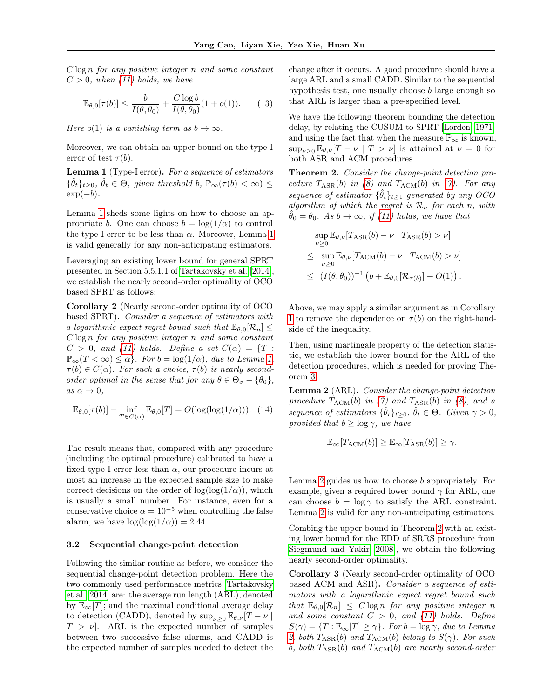$C \log n$  for any positive integer n and some constant  $C > 0$ , when [\(11\)](#page-5-1) holds, we have

$$
\mathbb{E}_{\theta,0}[\tau(b)] \le \frac{b}{I(\theta,\theta_0)} + \frac{C\log b}{I(\theta,\theta_0)}(1+o(1)).\tag{13}
$$

Here  $o(1)$  is a vanishing term as  $b \to \infty$ .

Moreover, we can obtain an upper bound on the type-I error of test  $\tau(b)$ .

<span id="page-6-1"></span>Lemma 1 (Type-I error). For a sequence of estimators  $\{\hat{\theta}_t\}_{t\geq0}, \hat{\theta}_t \in \Theta$ , given threshold b,  $\mathbb{P}_{\infty}(\tau(b) < \infty) \leq$  $\exp(-b)$ .

Lemma [1](#page-6-1) sheds some lights on how to choose an appropriate b. One can choose  $b = \log(1/\alpha)$  to control the type-I error to be less than  $\alpha$ . Moreover, Lemma [1](#page-6-1) is valid generally for any non-anticipating estimators.

Leveraging an existing lower bound for general SPRT presented in Section 5.5.1.1 of [Tartakovsky et al.](#page-8-2) [\[2014\]](#page-8-2), we establish the nearly second-order optimality of OCO based SPRT as follows:

Corollary 2 (Nearly second-order optimality of OCO based SPRT). Consider a sequence of estimators with a logarithmic expect regret bound such that  $\mathbb{E}_{\theta,0}[\mathcal{R}_n] \leq$  $C \log n$  for any positive integer n and some constant  $C > 0$ , and [\(11\)](#page-5-1) holds. Define a set  $C(\alpha) = \{T :$  $\mathbb{P}_{\infty}(T < \infty) \leq \alpha$ . For  $b = \log(1/\alpha)$ , due to Lemma [1,](#page-6-1)  $\tau(b) \in C(\alpha)$ . For such a choice,  $\tau(b)$  is nearly secondorder optimal in the sense that for any  $\theta \in \Theta_{\sigma} - \{\theta_0\},\$ as  $\alpha \to 0$ ,

<span id="page-6-5"></span>
$$
\mathbb{E}_{\theta,0}[\tau(b)] - \inf_{T \in C(\alpha)} \mathbb{E}_{\theta,0}[T] = O(\log(\log(1/\alpha))). \tag{14}
$$

The result means that, compared with any procedure (including the optimal procedure) calibrated to have a fixed type-I error less than  $\alpha$ , our procedure incurs at most an increase in the expected sample size to make correct decisions on the order of  $log(log(1/\alpha))$ , which is usually a small number. For instance, even for a conservative choice  $\alpha = 10^{-5}$  when controlling the false alarm, we have  $\log(\log(1/\alpha)) = 2.44$ .

#### 3.2 Sequential change-point detection

Following the similar routine as before, we consider the sequential change-point detection problem. Here the two commonly used performance metrics [\[Tartakovsky](#page-8-2) [et al., 2014\]](#page-8-2) are: the average run length (ARL), denoted by  $\mathbb{E}_{\infty}[T]$ ; and the maximal conditional average delay to detection (CADD), denoted by  $\sup_{\nu>0} \mathbb{E}_{\theta,\nu}[T-\nu]$  $T > \nu$ . ARL is the expected number of samples between two successive false alarms, and CADD is the expected number of samples needed to detect the <span id="page-6-0"></span>change after it occurs. A good procedure should have a large ARL and a small CADD. Similar to the sequential hypothesis test, one usually choose b large enough so that ARL is larger than a pre-specified level.

We have the following theorem bounding the detection delay, by relating the CUSUM to SPRT [\[Lorden, 1971\]](#page-9-5) and using the fact that when the measure  $\mathbb{P}_{\infty}$  is known,  $\sup_{\nu>0} \mathbb{E}_{\theta,\nu}[T-\nu|T>\nu]$  is attained at  $\nu=0$  for both ASR and ACM procedures.

Theorem 2. Consider the change-point detection procedure  $T_{ASR}(b)$  in [\(8\)](#page-3-5) and  $T_{ACM}(b)$  in [\(7\)](#page-3-6). For any sequence of estimator  $\{\hat{\theta}_t\}_{t\geq 1}$  generated by any OCO algorithm of which the regret is  $\mathcal{R}_n$  for each n, with  $\theta_0 = \theta_0$ . As  $b \to \infty$ , if [\(11\)](#page-5-1) holds, we have that

<span id="page-6-4"></span>
$$
\sup_{\nu \geq 0} \mathbb{E}_{\theta,\nu}[T_{\text{ASR}}(b) - \nu \mid T_{\text{ASR}}(b) > \nu]
$$
  
\n
$$
\leq \sup_{\nu \geq 0} \mathbb{E}_{\theta,\nu}[T_{\text{ACM}}(b) - \nu \mid T_{\text{ACM}}(b) > \nu]
$$
  
\n
$$
\leq (I(\theta, \theta_0))^{-1} (b + \mathbb{E}_{\theta,0}[\mathcal{R}_{\tau(b)}] + O(1)).
$$

Above, we may apply a similar argument as in Corollary [1](#page-6-0) to remove the dependence on  $\tau(b)$  on the right-handside of the inequality.

Then, using martingale property of the detection statistic, we establish the lower bound for the ARL of the detection procedures, which is needed for proving Theorem [3.](#page-6-2)

<span id="page-6-3"></span>Lemma 2 (ARL). Consider the change-point detection procedure  $T_{\text{ACM}}(b)$  in [\(7\)](#page-3-6) and  $T_{\text{ASR}}(b)$  in [\(8\)](#page-3-5), and a sequence of estimators  $\{\hat{\theta}_t\}_{t\geq0}$ ,  $\hat{\theta}_t \in \Theta$ . Given  $\gamma > 0$ , provided that  $b > \log \gamma$ , we have

$$
\mathbb{E}_{\infty}[T_{\text{ACM}}(b)] \geq \mathbb{E}_{\infty}[T_{\text{ASR}}(b)] \geq \gamma.
$$

Lemma [2](#page-6-3) guides us how to choose b appropriately. For example, given a required lower bound  $\gamma$  for ARL, one can choose  $b = \log \gamma$  to satisfy the ARL constraint. Lemma [2](#page-6-3) is valid for any non-anticipating estimators.

Combing the upper bound in Theorem [2](#page-6-4) with an existing lower bound for the EDD of SRRS procedure from [Siegmund and Yakir](#page-8-11) [\[2008\]](#page-8-11), we obtain the following nearly second-order optimality.

<span id="page-6-2"></span>Corollary 3 (Nearly second-order optimality of OCO based ACM and ASR). Consider a sequence of estimators with a logarithmic expect regret bound such that  $\mathbb{E}_{\theta,0}[\mathcal{R}_n] \leq C \log n$  for any positive integer n and some constant  $C > 0$ , and [\(11\)](#page-5-1) holds. Define  $S(\gamma) = \{T : \mathbb{E}_{\infty}[T] \geq \gamma\}.$  For  $b = \log \gamma$ , due to Lemma [2,](#page-6-3) both  $T_{\text{ASR}}(b)$  and  $T_{\text{ACM}}(b)$  belong to  $S(\gamma)$ . For such b, both  $T_{\text{ASR}}(b)$  and  $T_{\text{ACM}}(b)$  are nearly second-order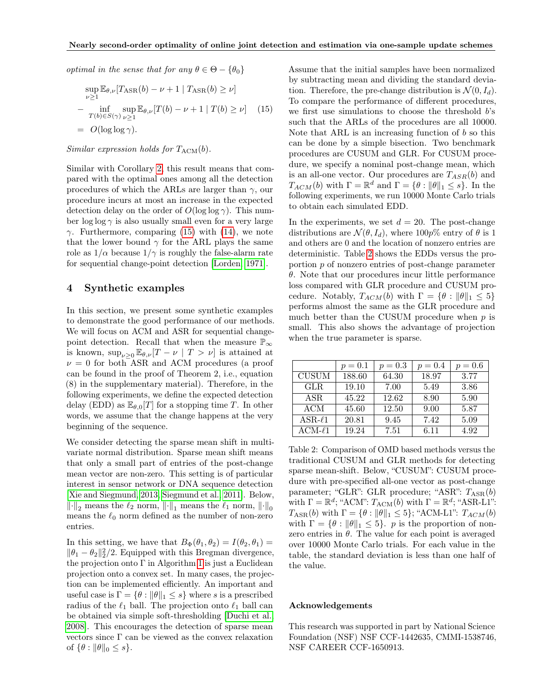optimal in the sense that for any  $\theta \in \Theta - \{\theta_0\}$ 

$$
\sup_{\nu \ge 1} \mathbb{E}_{\theta,\nu} [T_{\text{ASR}}(b) - \nu + 1 | T_{\text{ASR}}(b) \ge \nu]
$$
  
- 
$$
\inf_{T(b) \in S(\gamma)} \sup_{\nu \ge 1} \mathbb{E}_{\theta,\nu} [T(b) - \nu + 1 | T(b) \ge \nu] \quad (15)
$$
  
= 
$$
O(\log \log \gamma).
$$

## Similar expression holds for  $T_{\text{ACM}}(b)$ .

Similar with Corollary [2,](#page-6-5) this result means that compared with the optimal ones among all the detection procedures of which the ARLs are larger than  $\gamma$ , our procedure incurs at most an increase in the expected detection delay on the order of  $O(\log \log \gamma)$ . This number  $\log \log \gamma$  is also usually small even for a very large γ. Furthermore, comparing [\(15\)](#page-6-4) with [\(14\)](#page-6-5), we note that the lower bound  $\gamma$  for the ARL plays the same role as  $1/\alpha$  because  $1/\gamma$  is roughly the false-alarm rate for sequential change-point detection [\[Lorden, 1971\]](#page-9-5).

# 4 Synthetic examples

In this section, we present some synthetic examples to demonstrate the good performance of our methods. We will focus on ACM and ASR for sequential changepoint detection. Recall that when the measure  $\mathbb{P}_\infty$ is known,  $\sup_{\nu>0} \mathbb{E}_{\theta,\nu}[T-\nu | T > \nu]$  is attained at  $\nu = 0$  for both ASR and ACM procedures (a proof can be found in the proof of Theorem 2, i.e., equation (8) in the supplementary material). Therefore, in the following experiments, we define the expected detection delay (EDD) as  $\mathbb{E}_{\theta,0}[T]$  for a stopping time T. In other words, we assume that the change happens at the very beginning of the sequence.

We consider detecting the sparse mean shift in multivariate normal distribution. Sparse mean shift means that only a small part of entries of the post-change mean vector are non-zero. This setting is of particular interest in sensor network or DNA sequence detection [\[Xie and Siegmund, 2013,](#page-9-6) [Siegmund et al., 2011\]](#page-9-7). Below,  $\lVert \cdot \rVert_2$  means the  $\ell_2$  norm,  $\lVert \cdot \rVert_1$  means the  $\ell_1$  norm,  $\lVert \cdot \rVert_0$ means the  $\ell_0$  norm defined as the number of non-zero entries.

In this setting, we have that  $B_{\Phi}(\theta_1, \theta_2) = I(\theta_2, \theta_1) =$  $\|\theta_1 - \theta_2\|_2^2/2$ . Equipped with this Bregman divergence, the projection onto  $\Gamma$  in Algorithm [1](#page-5-0) is just a Euclidean projection onto a convex set. In many cases, the projection can be implemented efficiently. An important and useful case is  $\Gamma = \{ \theta : ||\theta||_1 \leq s \}$  where s is a prescribed radius of the  $\ell_1$  ball. The projection onto  $\ell_1$  ball can be obtained via simple soft-thresholding [\[Duchi et al.,](#page-9-8) [2008\]](#page-9-8). This encourages the detection of sparse mean vectors since  $\Gamma$  can be viewed as the convex relaxation of  $\{\theta : ||\theta||_0 \leq s\}.$ 

Assume that the initial samples have been normalized by subtracting mean and dividing the standard deviation. Therefore, the pre-change distribution is  $\mathcal{N}(0, I_d)$ . To compare the performance of different procedures, we first use simulations to choose the threshold b's such that the ARLs of the procedures are all 10000. Note that ARL is an increasing function of  $b$  so this can be done by a simple bisection. Two benchmark procedures are CUSUM and GLR. For CUSUM procedure, we specify a nominal post-change mean, which is an all-one vector. Our procedures are  $T_{ASR}(b)$  and  $T_{ACM}(b)$  with  $\Gamma = \mathbb{R}^d$  and  $\Gamma = \{\theta : ||\theta||_1 \leq s\}$ . In the following experiments, we run 10000 Monte Carlo trials to obtain each simulated EDD.

In the experiments, we set  $d = 20$ . The post-change distributions are  $\mathcal{N}(\theta, I_d)$ , where 100p% entry of  $\theta$  is 1 and others are 0 and the location of nonzero entries are deterministic. Table [2](#page-7-0) shows the EDDs versus the proportion p of nonzero entries of post-change parameter  $\theta$ . Note that our procedures incur little performance loss compared with GLR procedure and CUSUM procedure. Notably,  $T_{ACM}(b)$  with  $\Gamma = \{\theta : ||\theta||_1 \leq 5\}$ performs almost the same as the GLR procedure and much better than the CUSUM procedure when  $p$  is small. This also shows the advantage of projection when the true parameter is sparse.

<span id="page-7-0"></span>

|              | $p = 0.1$ | $p = 0.3$ | $p = 0.4$ | $p = 0.6$ |
|--------------|-----------|-----------|-----------|-----------|
| <b>CUSUM</b> | 188.60    | 64.30     | 18.97     | 3.77      |
| <b>GLR</b>   | 19.10     | 7.00      | 5.49      | 3.86      |
| ASR.         | 45.22     | 12.62     | 8.90      | 5.90      |
| <b>ACM</b>   | 45.60     | 12.50     | 9.00      | 5.87      |
| $ASR-\ell1$  | 20.81     | 9.45      | 7.42      | 5.09      |
| $ACM-l1$     | 19.24     | 7.51      | 6.11      | 4.92      |

Table 2: Comparison of OMD based methods versus the traditional CUSUM and GLR methods for detecting sparse mean-shift. Below, "CUSUM": CUSUM procedure with pre-specified all-one vector as post-change parameter; "GLR": GLR procedure; "ASR":  $T_{ASR}(b)$ with  $\Gamma = \mathbb{R}^d$ ; "ACM":  $T_{\text{ACM}}(b)$  with  $\Gamma = \mathbb{R}^d$ ; "ASR-L1":  $T_{ASR}(b)$  with  $\Gamma = \{ \theta : ||\theta||_1 \leq 5 \};$  "ACM-L1":  $T_{ACM}(b)$ with  $\Gamma = \{\theta : ||\theta||_1 \leq 5\}$ . p is the proportion of nonzero entries in  $\theta$ . The value for each point is averaged over 10000 Monte Carlo trials. For each value in the table, the standard deviation is less than one half of the value.

### Acknowledgements

This research was supported in part by National Science Foundation (NSF) NSF CCF-1442635, CMMI-1538746, NSF CAREER CCF-1650913.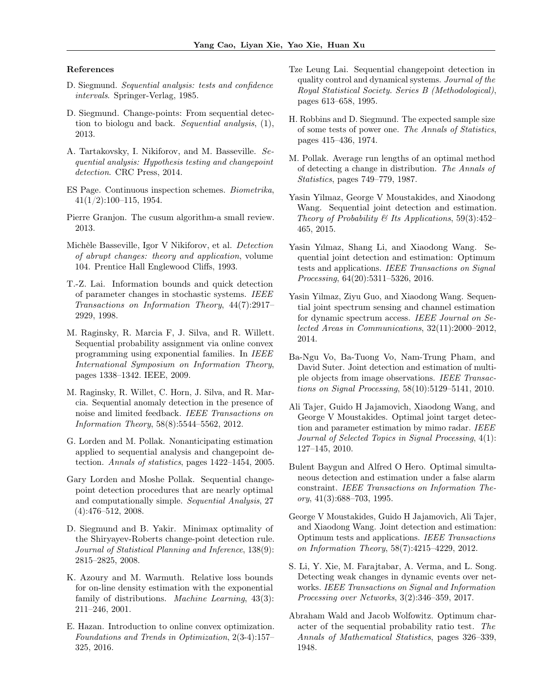#### References

- <span id="page-8-0"></span>D. Siegmund. Sequential analysis: tests and confidence intervals. Springer-Verlag, 1985.
- <span id="page-8-1"></span>D. Siegmund. Change-points: From sequential detection to biologu and back. Sequential analysis, (1), 2013.
- <span id="page-8-2"></span>A. Tartakovsky, I. Nikiforov, and M. Basseville. Sequential analysis: Hypothesis testing and changepoint detection. CRC Press, 2014.
- <span id="page-8-3"></span>ES Page. Continuous inspection schemes. Biometrika, 41(1/2):100–115, 1954.
- <span id="page-8-4"></span>Pierre Granjon. The cusum algorithm-a small review. 2013.
- <span id="page-8-5"></span>Michèle Basseville, Igor V Nikiforov, et al. Detection of abrupt changes: theory and application, volume 104. Prentice Hall Englewood Cliffs, 1993.
- <span id="page-8-6"></span>T.-Z. Lai. Information bounds and quick detection of parameter changes in stochastic systems. IEEE Transactions on Information Theory, 44(7):2917– 2929, 1998.
- <span id="page-8-7"></span>M. Raginsky, R. Marcia F, J. Silva, and R. Willett. Sequential probability assignment via online convex programming using exponential families. In IEEE International Symposium on Information Theory, pages 1338–1342. IEEE, 2009.
- <span id="page-8-8"></span>M. Raginsky, R. Willet, C. Horn, J. Silva, and R. Marcia. Sequential anomaly detection in the presence of noise and limited feedback. IEEE Transactions on Information Theory, 58(8):5544–5562, 2012.
- <span id="page-8-9"></span>G. Lorden and M. Pollak. Nonanticipating estimation applied to sequential analysis and changepoint detection. Annals of statistics, pages 1422–1454, 2005.
- <span id="page-8-10"></span>Gary Lorden and Moshe Pollak. Sequential changepoint detection procedures that are nearly optimal and computationally simple. Sequential Analysis, 27 (4):476–512, 2008.
- <span id="page-8-11"></span>D. Siegmund and B. Yakir. Minimax optimality of the Shiryayev-Roberts change-point detection rule. Journal of Statistical Planning and Inference, 138(9): 2815–2825, 2008.
- <span id="page-8-12"></span>K. Azoury and M. Warmuth. Relative loss bounds for on-line density estimation with the exponential family of distributions. Machine Learning, 43(3): 211–246, 2001.
- <span id="page-8-13"></span>E. Hazan. Introduction to online convex optimization. Foundations and Trends in Optimization, 2(3-4):157– 325, 2016.
- <span id="page-8-14"></span>Tze Leung Lai. Sequential changepoint detection in quality control and dynamical systems. Journal of the Royal Statistical Society. Series B (Methodological), pages 613–658, 1995.
- <span id="page-8-15"></span>H. Robbins and D. Siegmund. The expected sample size of some tests of power one. The Annals of Statistics, pages 415–436, 1974.
- <span id="page-8-16"></span>M. Pollak. Average run lengths of an optimal method of detecting a change in distribution. The Annals of Statistics, pages 749–779, 1987.
- <span id="page-8-17"></span>Yasin Yilmaz, George V Moustakides, and Xiaodong Wang. Sequential joint detection and estimation. Theory of Probability & Its Applications,  $59(3):452-$ 465, 2015.
- <span id="page-8-18"></span>Yasin Yılmaz, Shang Li, and Xiaodong Wang. Sequential joint detection and estimation: Optimum tests and applications. IEEE Transactions on Signal Processing, 64(20):5311–5326, 2016.
- <span id="page-8-19"></span>Yasin Yilmaz, Ziyu Guo, and Xiaodong Wang. Sequential joint spectrum sensing and channel estimation for dynamic spectrum access. IEEE Journal on Selected Areas in Communications, 32(11):2000–2012, 2014.
- <span id="page-8-20"></span>Ba-Ngu Vo, Ba-Tuong Vo, Nam-Trung Pham, and David Suter. Joint detection and estimation of multiple objects from image observations. IEEE Transactions on Signal Processing, 58(10):5129–5141, 2010.
- <span id="page-8-21"></span>Ali Tajer, Guido H Jajamovich, Xiaodong Wang, and George V Moustakides. Optimal joint target detection and parameter estimation by mimo radar. IEEE Journal of Selected Topics in Signal Processing, 4(1): 127–145, 2010.
- <span id="page-8-22"></span>Bulent Baygun and Alfred O Hero. Optimal simultaneous detection and estimation under a false alarm constraint. IEEE Transactions on Information Theory, 41(3):688–703, 1995.
- <span id="page-8-23"></span>George V Moustakides, Guido H Jajamovich, Ali Tajer, and Xiaodong Wang. Joint detection and estimation: Optimum tests and applications. IEEE Transactions on Information Theory, 58(7):4215–4229, 2012.
- <span id="page-8-24"></span>S. Li, Y. Xie, M. Farajtabar, A. Verma, and L. Song. Detecting weak changes in dynamic events over networks. IEEE Transactions on Signal and Information Processing over Networks, 3(2):346–359, 2017.
- <span id="page-8-25"></span>Abraham Wald and Jacob Wolfowitz. Optimum character of the sequential probability ratio test. The Annals of Mathematical Statistics, pages 326–339, 1948.